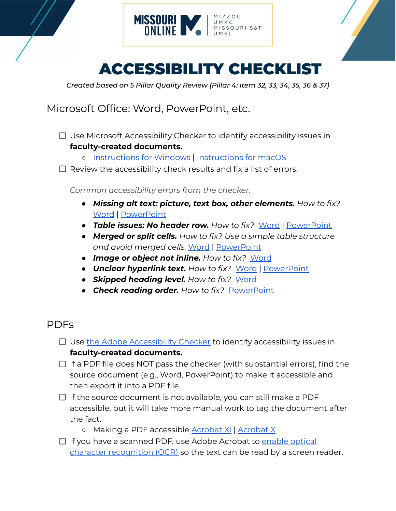



## ACCESSIBILITY CHECKLIST

*Created based on 5 Pillar Quality Review (Pillar 4: Item 32, 33, 34, 35, 36 & 37)*

Microsoft Office: Word, PowerPoint, etc.

- $\Box$  Use Microsoft Accessibility Checker to identify accessibility issues in **faculty-created documents.**
	- [Instructions](https://support.microsoft.com/en-us/office/improve-accessibility-with-the-accessibility-checker-a16f6de0-2f39-4a2b-8bd8-5ad801426c7f#PickTab=Windows) for Windows | [Instructions](https://support.microsoft.com/en-us/office/improve-accessibility-with-the-accessibility-checker-a16f6de0-2f39-4a2b-8bd8-5ad801426c7f#PickTab=macOS) for macOS
- $\Box$  Review the accessibility check results and fix a list of errors.

*Common accessibility errors from the checker:*

- *● Missing alt text: picture, text box, other elements. How to fix?* [Word](https://www.ssa.gov/accessibility/checklists/word2010/missingAltTextPicture.htm#collapsible=howToFix) | [PowerPoint](https://support.microsoft.com/en-us/office/make-your-powerpoint-presentations-accessible-to-people-with-disabilities-6f7772b2-2f33-4bd2-8ca7-dae3b2b3ef25#bkmk_macalttext_365)
- *● Table issues: No header row. How to fix?* [Word](https://www.ssa.gov/accessibility/checklists/word2010/noHeaderRowSpecified.htm#collapsible=howToFix) | [PowerPoint](https://support.microsoft.com/en-us/office/make-your-powerpoint-presentations-accessible-to-people-with-disabilities-6f7772b2-2f33-4bd2-8ca7-dae3b2b3ef25#bkmk_mactableheaders)
- *Merged or split cells. How to fix? Use a simple table structure and avoid merged cells.* [Word](https://support.microsoft.com/en-us/office/video-create-accessible-tables-in-word-cb464015-59dc-46a0-ac01-6217c62210e5) | [PowerPoint](https://support.microsoft.com/en-us/office/make-your-powerpoint-presentations-accessible-to-people-with-disabilities-6f7772b2-2f33-4bd2-8ca7-dae3b2b3ef25?ui=en-us&rs=en-us&ad=us#bkmk_macdesign)
- *● Image or object not inline. How to fix?* [Word](https://www.ssa.gov/accessibility/checklists/word2010/objectNotInLine.htm#collapsible=howToFix)
- *● Unclear hyperlink text. How to fix?* [Word](https://www.ssa.gov/accessibility/checklists/word2010/unclearHyperlink.htm#collapsible=howToFix) | [PowerPoint](https://support.microsoft.com/en-us/office/make-your-powerpoint-presentations-accessible-to-people-with-disabilities-6f7772b2-2f33-4bd2-8ca7-dae3b2b3ef25#bkmk_maclinksscreentips)
- *● Skipped heading level. How to fix?* [Word](https://www.ssa.gov/accessibility/checklists/word2010/unclearHyperlink.htm#collapsible=howToFix)
- **●** *Check reading order. How to fix?* [PowerPoint](https://support.microsoft.com/en-us/office/make-your-powerpoint-presentations-accessible-to-people-with-disabilities-6f7772b2-2f33-4bd2-8ca7-dae3b2b3ef25?ui=en-us&rs=en-us&ad=us#bkmk_macreadingorder)

## PDFs

- $\Box$  Use the Adobe [Accessibility](https://www.adobe.com/accessibility/products/acrobat/using-acrobat-pro-accessibility-checker.html) Checker to identify accessibility issues in **faculty-created documents.**
- $\Box$  If a PDF file does NOT pass the checker (with substantial errors), find the source document (e.g., Word, PowerPoint) to make it accessible and then export it into a PDF file.
- $\Box$  If the source document is not available, you can still make a PDF accessible, but it will take more manual work to tag the document after the fact.
	- Making a PDF accessible [Acrobat](https://ncdae.org/resources/cheatsheets/acrobat-xi.php) XI | [Acrobat](https://ncdae.org/resources/cheatsheets/acrobat.php) X
- $\Box$  If you have a scanned PDF, use Adobe Acrobat to [enable](https://helpx.adobe.com/acrobat/using/edit-scanned-pdfs.html) optical character [recognition](https://helpx.adobe.com/acrobat/using/edit-scanned-pdfs.html) (OCR) so the text can be read by a screen reader.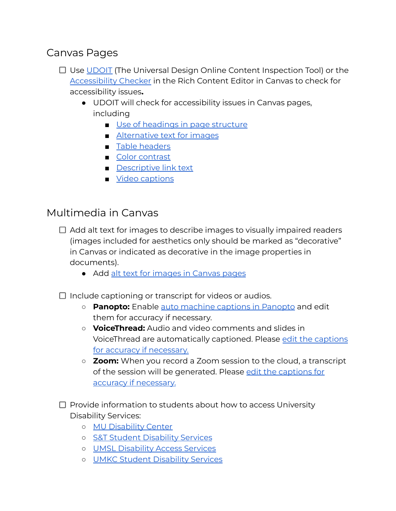## Canvas Pages

- □ Use [UDOIT](https://teachingtools.umsystem.edu/support/solutions/articles/11000112741-understanding-udoit) (The Universal Design Online Content Inspection Tool) or the [Accessibility](https://community.canvaslms.com/t5/Instructor-Guide/How-do-I-use-the-Accessibility-Checker-in-the-Rich-Content/ta-p/820) Checker in the Rich Content Editor in Canvas to check for accessibility issues**.**
	- UDOIT will check for accessibility issues in Canvas pages, including
		- Use of [headings](https://webaim.org/techniques/semanticstructure/) in page structure
		- [Alternative](https://webaim.org/techniques/alttext/) text for images
		- Table [headers](http://webaim.org/techniques/tables/data#th)
		- Color [contrast](http://webaim.org/blog/wcag-2-0-and-link-colors/)
		- [Descriptive](https://webaim.org/techniques/hypertext/) link text
		- Video [captions](https://www.washington.edu/accessibility/videos/free-captioning/)

## Multimedia in Canvas

- $\Box$  Add alt text for images to describe images to visually impaired readers (images included for aesthetics only should be marked as "decorative" in Canvas or indicated as decorative in the image properties in documents).
	- Add alt text for [images](https://community.canvaslms.com/t5/Student-Guide/How-do-I-manage-alt-text-and-display-options-for-images-embedded/ta-p/327) in Canvas pages
- $\Box$  Include captioning or transcript for videos or audios.
	- **Panopto:** Enable auto [machine](https://support.panopto.com/s/article/ASR-Generated-Captions) captions in Panopto and edit them for accuracy if necessary.
	- **VoiceThread:** Audio and video comments and slides in VoiceThread are automatically captioned. Please edit the [captions](https://voicethread.com/howto/closed-captioning/#automatic) for accuracy if [necessary.](https://voicethread.com/howto/closed-captioning/#automatic)
	- **○ Zoom:** When you record a Zoom session to the cloud, a transcript of the session will be generated. Please edit the [captions](https://support.zoom.us/hc/en-us/articles/115004794983-Using-audio-transcription-for-cloud-recordings-#h_01EHA530NBZ9QT65AZJQGC219B) for accuracy if [necessary.](https://support.zoom.us/hc/en-us/articles/115004794983-Using-audio-transcription-for-cloud-recordings-#h_01EHA530NBZ9QT65AZJQGC219B)
- $\Box$  Provide information to students about how to access University Disability Services:
	- MU [Disability](https://disabilitycenter.missouri.edu/) Center
	- S&T Student [Disability](https://dss.mst.edu/) Services
	- UMSL [Disability](http://www.umsl.edu/hcdas/das/) Access Services
	- UMKC Student [Disability](https://info.umkc.edu/disability-services/) Services